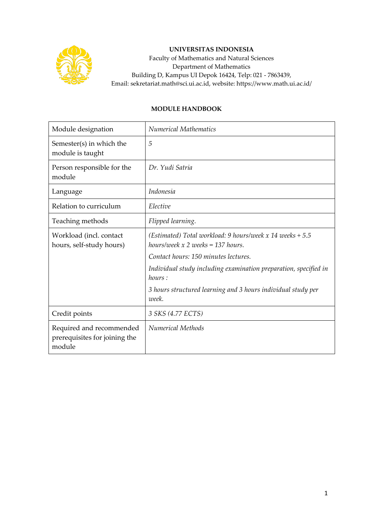

## **UNIVERSITAS INDONESIA**

Faculty of Mathematics and Natural Sciences Department of Mathematics Building D, Kampus UI Depok 16424, Telp: 021 - 7863439, Email: sekretariat.math@sci.ui.ac.id, website: https://www.math.ui.ac.id/

## **MODULE HANDBOOK**

| Module designation                                                  | <b>Numerical Mathematics</b>                                                                       |  |
|---------------------------------------------------------------------|----------------------------------------------------------------------------------------------------|--|
| Semester(s) in which the<br>module is taught                        | 5                                                                                                  |  |
| Person responsible for the<br>module                                | Dr. Yudi Satria                                                                                    |  |
| Language                                                            | <i>Indonesia</i>                                                                                   |  |
| Relation to curriculum                                              | Elective                                                                                           |  |
| Teaching methods                                                    | Flipped learning.                                                                                  |  |
| Workload (incl. contact<br>hours, self-study hours)                 | (Estimated) Total workload: 9 hours/week x 14 weeks $+ 5.5$<br>hours/week $x$ 2 weeks = 137 hours. |  |
|                                                                     | Contact hours: 150 minutes lectures.                                                               |  |
|                                                                     | Individual study including examination preparation, specified in<br>hours:                         |  |
|                                                                     | 3 hours structured learning and 3 hours individual study per<br>week.                              |  |
| Credit points                                                       | 3 SKS (4.77 ECTS)                                                                                  |  |
| Required and recommended<br>prerequisites for joining the<br>module | <b>Numerical Methods</b>                                                                           |  |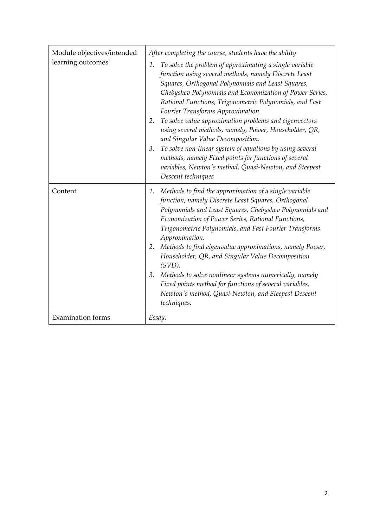| Module objectives/intended<br>learning outcomes | After completing the course, students have the ability<br>To solve the problem of approximating a single variable<br>1.<br>function using several methods, namely Discrete Least<br>Squares, Orthogonal Polynomials and Least Squares,<br>Chebyshev Polynomials and Economization of Power Series,<br>Rational Functions, Trigonometric Polynomials, and Fast<br>Fourier Transforms Approximation.<br>To solve value approximation problems and eigenvectors<br>2.<br>using several methods, namely, Power, Householder, QR,<br>and Singular Value Decomposition.<br>To solve non-linear system of equations by using several<br>3.<br>methods, namely Fixed points for functions of several<br>variables, Newton's method, Quasi-Newton, and Steepest<br>Descent techniques |
|-------------------------------------------------|------------------------------------------------------------------------------------------------------------------------------------------------------------------------------------------------------------------------------------------------------------------------------------------------------------------------------------------------------------------------------------------------------------------------------------------------------------------------------------------------------------------------------------------------------------------------------------------------------------------------------------------------------------------------------------------------------------------------------------------------------------------------------|
| Content                                         | Methods to find the approximation of a single variable<br>1.<br>function, namely Discrete Least Squares, Orthogonal<br>Polynomials and Least Squares, Chebyshev Polynomials and<br>Economization of Power Series, Rational Functions,<br>Trigonometric Polynomials, and Fast Fourier Transforms<br>Approximation.<br>2. Methods to find eigenvalue approximations, namely Power,<br>Householder, QR, and Singular Value Decomposition<br>$(SVD)$ .<br>Methods to solve nonlinear systems numerically, namely<br>3.<br>Fixed points method for functions of several variables,<br>Newton's method, Quasi-Newton, and Steepest Descent<br>techniques.                                                                                                                          |
| <b>Examination</b> forms                        | Essay.                                                                                                                                                                                                                                                                                                                                                                                                                                                                                                                                                                                                                                                                                                                                                                       |